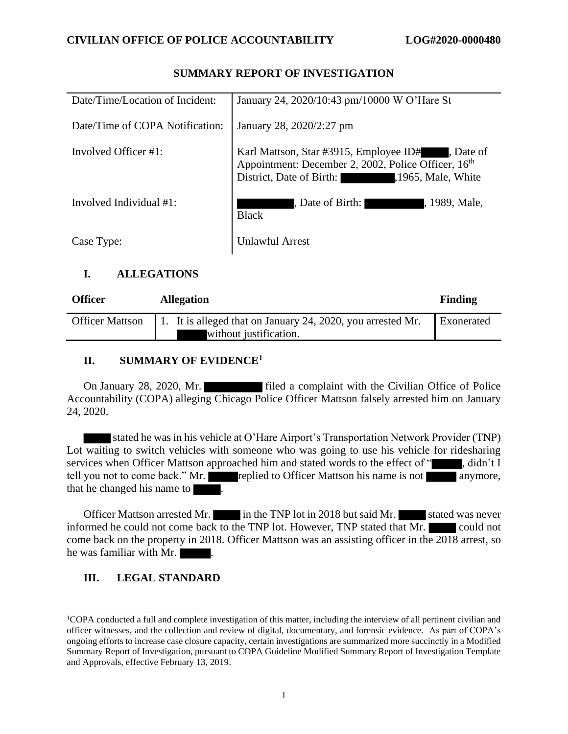| Date/Time/Location of Incident: | January 24, 2020/10:43 pm/10000 W O'Hare St                                                                                                                           |
|---------------------------------|-----------------------------------------------------------------------------------------------------------------------------------------------------------------------|
| Date/Time of COPA Notification: | January 28, 2020/2:27 pm                                                                                                                                              |
| Involved Officer $\#1$ :        | Karl Mattson, Star #3915, Employee ID# , Date of<br>Appointment: December 2, 2002, Police Officer, 16 <sup>th</sup><br>District, Date of Birth:<br>,1965, Male, White |
| Involved Individual #1:         | Date of Birth:<br>, 1989, Male,<br><b>Black</b>                                                                                                                       |
| Case Type:                      | Unlawful Arrest                                                                                                                                                       |

## **SUMMARY REPORT OF INVESTIGATION**

## **I. ALLEGATIONS**

| <b>Officer</b>         | <b>Allegation</b>                                           | <b>Finding</b>    |
|------------------------|-------------------------------------------------------------|-------------------|
| <b>Officer Mattson</b> | 1. It is alleged that on January 24, 2020, you arrested Mr. | <b>Exonerated</b> |
|                        | without justification.                                      |                   |

# **II. SUMMARY OF EVIDENCE<sup>1</sup>**

On January 28, 2020, Mr. filed a complaint with the Civilian Office of Police Accountability (COPA) alleging Chicago Police Officer Mattson falsely arrested him on January 24, 2020.

 stated he was in his vehicle at O'Hare Airport's Transportation Network Provider (TNP) Lot waiting to switch vehicles with someone who was going to use his vehicle for ridesharing services when Officer Mattson approached him and stated words to the effect of ", didn't I tell you not to come back." Mr. replied to Officer Mattson his name is not anymore, that he changed his name to .

Officer Mattson arrested Mr. in the TNP lot in 2018 but said Mr. stated was never informed he could not come back to the TNP lot. However, TNP stated that Mr. could not come back on the property in 2018. Officer Mattson was an assisting officer in the 2018 arrest, so he was familiar with Mr.

# **III. LEGAL STANDARD**

<sup>1</sup>COPA conducted a full and complete investigation of this matter, including the interview of all pertinent civilian and officer witnesses, and the collection and review of digital, documentary, and forensic evidence. As part of COPA's ongoing efforts to increase case closure capacity, certain investigations are summarized more succinctly in a Modified Summary Report of Investigation, pursuant to COPA Guideline Modified Summary Report of Investigation Template and Approvals, effective February 13, 2019.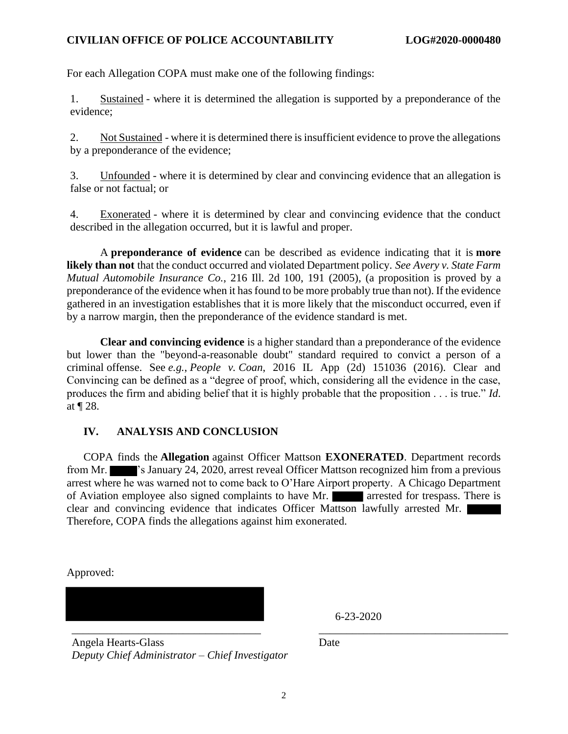#### **CIVILIAN OFFICE OF POLICE ACCOUNTABILITY LOG#2020-0000480**

For each Allegation COPA must make one of the following findings:

1. Sustained - where it is determined the allegation is supported by a preponderance of the evidence;

2. Not Sustained - where it is determined there is insufficient evidence to prove the allegations by a preponderance of the evidence;

3. Unfounded - where it is determined by clear and convincing evidence that an allegation is false or not factual; or

4. Exonerated - where it is determined by clear and convincing evidence that the conduct described in the allegation occurred, but it is lawful and proper.

A **preponderance of evidence** can be described as evidence indicating that it is **more likely than not** that the conduct occurred and violated Department policy. *See Avery v. State Farm Mutual Automobile Insurance Co.*, 216 Ill. 2d 100, 191 (2005), (a proposition is proved by a preponderance of the evidence when it has found to be more probably true than not). If the evidence gathered in an investigation establishes that it is more likely that the misconduct occurred, even if by a narrow margin, then the preponderance of the evidence standard is met.

**Clear and convincing evidence** is a higher standard than a preponderance of the evidence but lower than the "beyond-a-reasonable doubt" standard required to convict a person of a criminal offense. See *e.g.*, *People v. Coan*, 2016 IL App (2d) 151036 (2016). Clear and Convincing can be defined as a "degree of proof, which, considering all the evidence in the case, produces the firm and abiding belief that it is highly probable that the proposition . . . is true." *Id*. at ¶ 28.

#### **IV. ANALYSIS AND CONCLUSION**

COPA finds the **Allegation** against Officer Mattson **EXONERATED**. Department records from Mr.  $\blacksquare$ 's January 24, 2020, arrest reveal Officer Mattson recognized him from a previous arrest where he was warned not to come back to O'Hare Airport property. A Chicago Department of Aviation employee also signed complaints to have Mr. **arrested for trespass.** There is clear and convincing evidence that indicates Officer Mattson lawfully arrested Mr. Therefore, COPA finds the allegations against him exonerated.

Approved:

\_\_\_\_\_\_\_\_\_\_\_\_\_\_\_\_\_\_\_\_\_\_\_\_\_\_\_\_\_\_\_\_\_\_ \_\_\_\_\_\_\_\_\_\_\_\_\_\_\_\_\_\_\_\_\_\_\_\_\_\_\_\_\_\_\_\_\_\_

6-23-2020

Date

Angela Hearts-Glass *Deputy Chief Administrator – Chief Investigator*